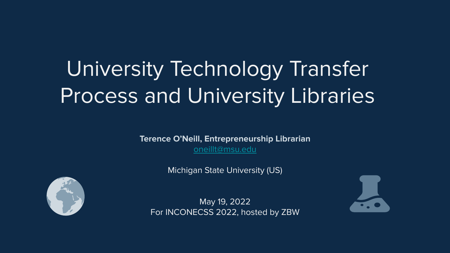# University Technology Transfer Process and University Libraries

**Terence O'Neill, Entrepreneurship Librarian** [oneillt@msu.edu](mailto:oneillt@msu.edu)

Michigan State University (US)



May 19, 2022 For INCONECSS 2022, hosted by ZBW

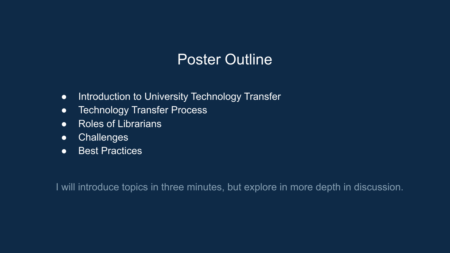#### Poster Outline

- Introduction to University Technology Transfer
- Technology Transfer Process
- Roles of Librarians
- Challenges
- Best Practices

I will introduce topics in three minutes, but explore in more depth in discussion.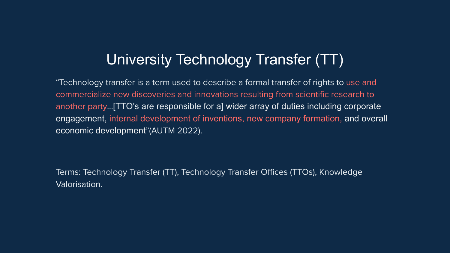#### University Technology Transfer (TT)

"Technology transfer is a term used to describe a formal transfer of rights to use and commercialize new discoveries and innovations resulting from scientific research to another party…[TTO's are responsible for a] wider array of duties including corporate engagement, internal development of inventions, new company formation, and overall economic development"(AUTM 2022).

Terms: Technology Transfer (TT), Technology Transfer Offices (TTOs), Knowledge Valorisation.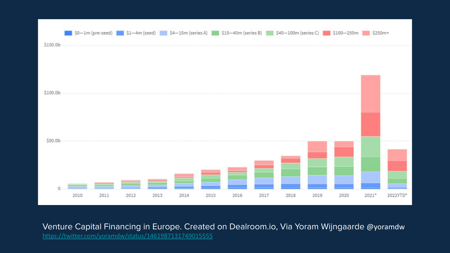

Venture Capital Financing in Europe. Created on Dealroom.io, Via Yoram Wijngaarde @yoramdw <https://twitter.com/yoramdw/status/1461987131749015555>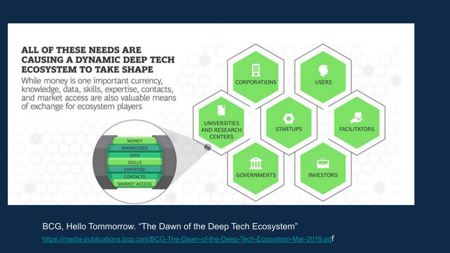#### **ALL OF THESE NEEDS ARE CAUSING A DYNAMIC DEEP TECH ECOSYSTEM TO TAKE SHAPE**

While money is one important currency,<br>knowledge, data, skills, expertise, contacts,<br>and market access are also valuable means of exchange for ecosystem players



BCG, Hello Tommorrow. "The Dawn of the Deep Tech Ecosystem"

[https://media-publications.bcg.com/BCG-The-Dawn-of-the-Deep-Tech-Ecosystem-Mar-2019.pd](https://media-publications.bcg.com/BCG-The-Dawn-of-the-Deep-Tech-Ecosystem-Mar-2019.pdf)f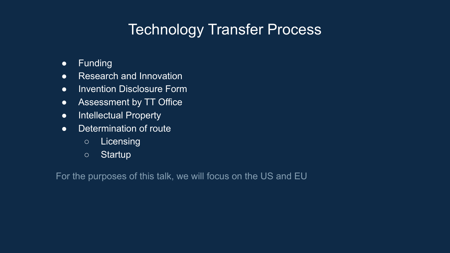### Technology Transfer Process

- Funding
- Research and Innovation
- Invention Disclosure Form
- Assessment by TT Office
- Intellectual Property
- Determination of route
	- Licensing
	- Startup

For the purposes of this talk, we will focus on the US and EU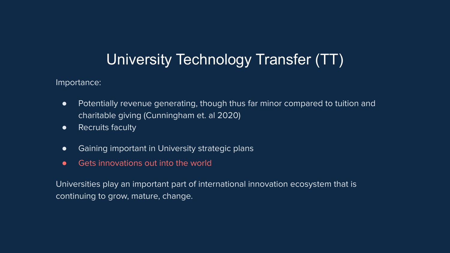#### University Technology Transfer (TT)

#### Importance:

- Potentially revenue generating, though thus far minor compared to tuition and charitable giving (Cunningham et. al 2020)
- Recruits faculty
- Gaining important in University strategic plans
- Gets innovations out into the world

Universities play an important part of international innovation ecosystem that is continuing to grow, mature, change.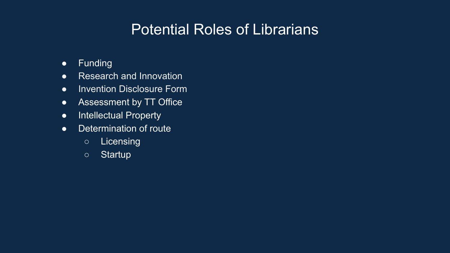- Funding
- Research and Innovation
- Invention Disclosure Form
- Assessment by TT Office
- Intellectual Property
- Determination of route
	- Licensing
	- Startup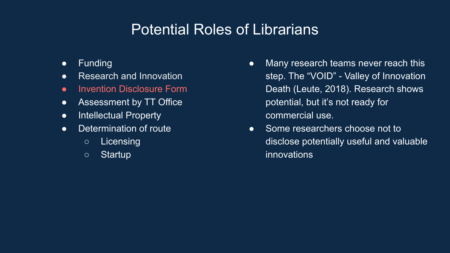- Funding
- Research and Innovation
- Invention Disclosure Form
- Assessment by TT Office
- Intellectual Property
- Determination of route
	- Licensing
	- Startup
- Many research teams never reach this step. The "VOID" - Valley of Innovation Death (Leute, 2018). Research shows potential, but it's not ready for commercial use.
- Some researchers choose not to disclose potentially useful and valuable innovations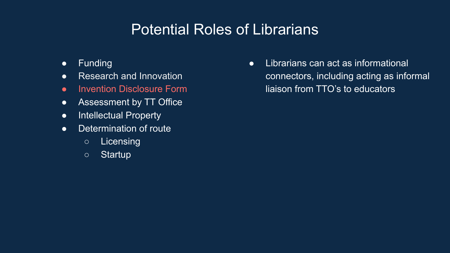- Funding
- Research and Innovation
- **•** Invention Disclosure Form
- Assessment by TT Office
- Intellectual Property
- Determination of route
	- Licensing
	- Startup

● Librarians can act as informational connectors, including acting as informal liaison from TTO's to educators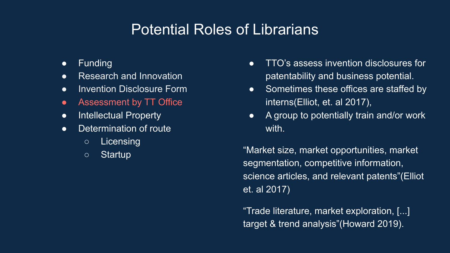- Funding
- Research and Innovation
- Invention Disclosure Form
- Assessment by TT Office
- Intellectual Property
- Determination of route
	- Licensing
	- Startup
- TTO's assess invention disclosures for patentability and business potential.
- Sometimes these offices are staffed by interns(Elliot, et. al 2017),
- A group to potentially train and/or work with.

"Market size, market opportunities, market segmentation, competitive information, science articles, and relevant patents"(Elliot et. al 2017)

"Trade literature, market exploration, [...] target & trend analysis"(Howard 2019).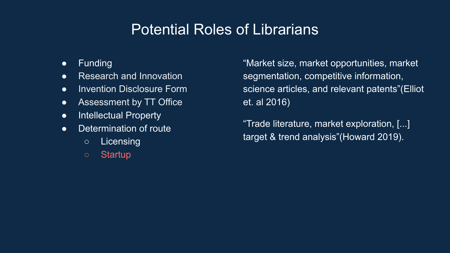- Funding
- Research and Innovation
- Invention Disclosure Form
- Assessment by TT Office
- Intellectual Property
- Determination of route
	- Licensing
	- Startup

"Market size, market opportunities, market segmentation, competitive information, science articles, and relevant patents"(Elliot et. al 2016)

"Trade literature, market exploration, [...] target & trend analysis"(Howard 2019).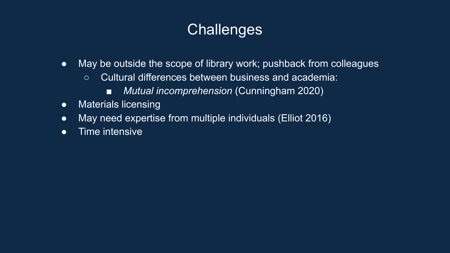### **Challenges**

- May be outside the scope of library work; pushback from colleagues
	- Cultural differences between business and academia:
		- *Mutual incomprehension* (Cunningham 2020)
- Materials licensing
- May need expertise from multiple individuals (Elliot 2016)
- Time intensive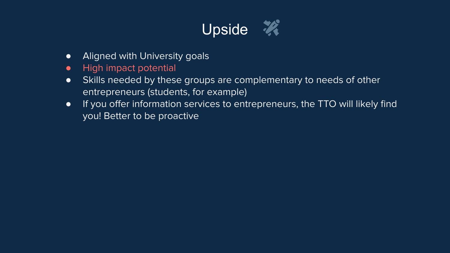

- Aligned with University goals
- High impact potential
- Skills needed by these groups are complementary to needs of other entrepreneurs (students, for example)
- If you offer information services to entrepreneurs, the TTO will likely find you! Better to be proactive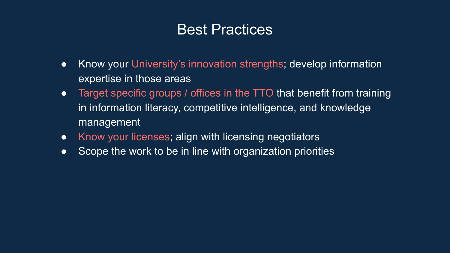#### Best Practices

- Know your University's innovation strengths; develop information expertise in those areas
- Target specific groups / offices in the TTO that benefit from training in information literacy, competitive intelligence, and knowledge management
- Know your licenses; align with licensing negotiators
- Scope the work to be in line with organization priorities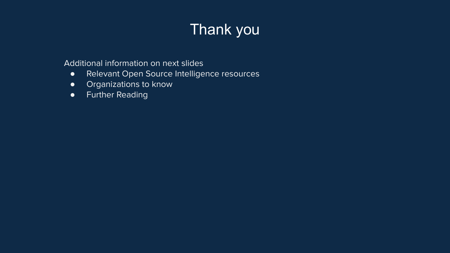## Thank you

Additional information on next slides

- Relevant Open Source Intelligence resources
- Organizations to know
- Further Reading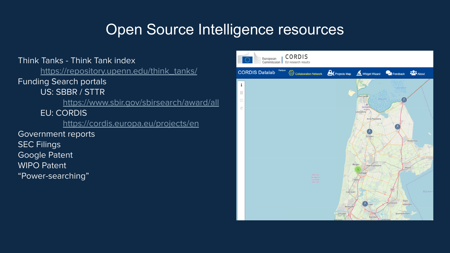#### Open Source Intelligence resources

Think Tanks - Think Tank index [https://repository.upenn.edu/think\\_tanks/](https://repository.upenn.edu/think_tanks/) Funding Search portals US: SBBR / STTR <https://www.sbir.gov/sbirsearch/award/all> EU: CORDIS <https://cordis.europa.eu/projects/en> Government reports SEC Filings Google Patent WIPO Patent "Power-searching"

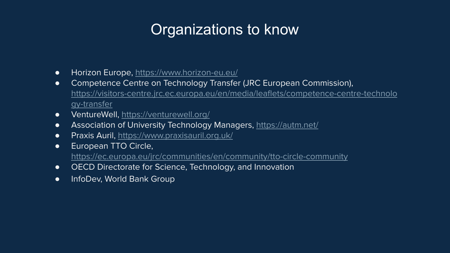#### Organizations to know

- Horizon Europe, <https://www.horizon-eu.eu/>
- Competence Centre on Technology Transfer (JRC European Commission), [https://visitors-centre.jrc.ec.europa.eu/en/media/leaflets/competence-centre-technolo](https://visitors-centre.jrc.ec.europa.eu/en/media/leaflets/competence-centre-technology-transfer) [gy-transfer](https://visitors-centre.jrc.ec.europa.eu/en/media/leaflets/competence-centre-technology-transfer)
- VentureWell,<https://venturewell.org/>
- Association of University Technology Managers,<https://autm.net/>
- Praxis Auril, <https://www.praxisauril.org.uk/>
- European TTO Circle, <https://ec.europa.eu/jrc/communities/en/community/tto-circle-community>
- OECD Directorate for Science, Technology, and Innovation
- **•** InfoDev, World Bank Group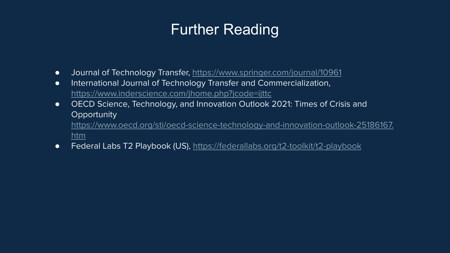### Further Reading

- Journal of Technology Transfer, <https://www.springer.com/journal/10961>
- International Journal of Technology Transfer and Commercialization, <https://www.inderscience.com/jhome.php?jcode=ijttc>
- OECD Science, Technology, and Innovation Outlook 2021: Times of Crisis and **Opportunity** [https://www.oecd.org/sti/oecd-science-technology-and-innovation-outlook-25186167.](https://www.oecd.org/sti/oecd-science-technology-and-innovation-outlook-25186167.htm) [htm](https://www.oecd.org/sti/oecd-science-technology-and-innovation-outlook-25186167.htm)
- Federal Labs T2 Playbook (US), <https://federallabs.org/t2-toolkit/t2-playbook>